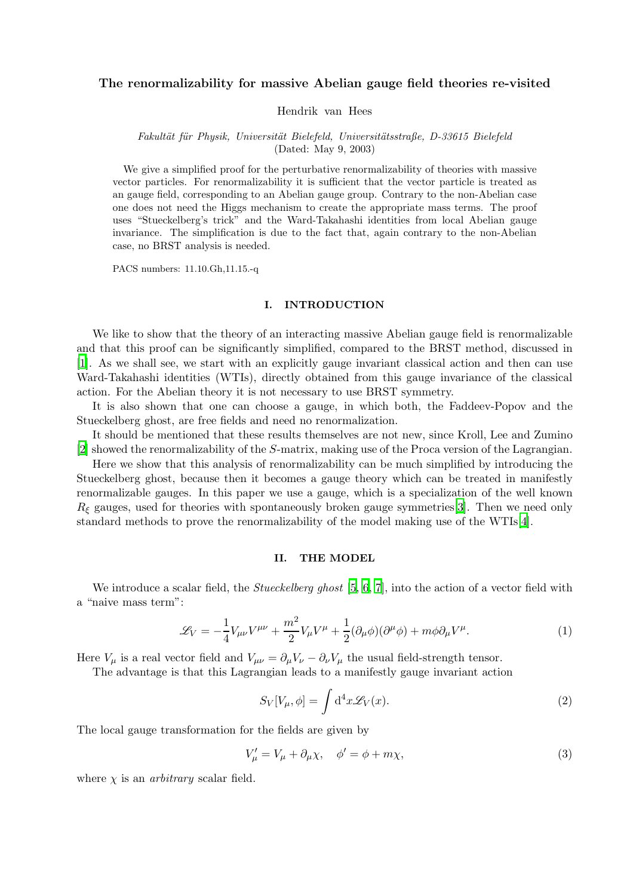# The renormalizability for massive Abelian gauge field theories re-visited

Hendrik van Hees

## Fakultät für Physik, Universität Bielefeld, Universitätsstraße, D-33615 Bielefeld (Dated: May 9, 2003)

We give a simplified proof for the perturbative renormalizability of theories with massive vector particles. For renormalizability it is sufficient that the vector particle is treated as an gauge field, corresponding to an Abelian gauge group. Contrary to the non-Abelian case one does not need the Higgs mechanism to create the appropriate mass terms. The proof uses "Stueckelberg's trick" and the Ward-Takahashi identities from local Abelian gauge invariance. The simplification is due to the fact that, again contrary to the non-Abelian case, no BRST analysis is needed.

PACS numbers: 11.10.Gh,11.15.-q

### I. INTRODUCTION

We like to show that the theory of an interacting massive Abelian gauge field is renormalizable and that this proof can be significantly simplified, compared to the BRST method, discussed in [\[1](#page-7-0)]. As we shall see, we start with an explicitly gauge invariant classical action and then can use Ward-Takahashi identities (WTIs), directly obtained from this gauge invariance of the classical action. For the Abelian theory it is not necessary to use BRST symmetry.

It is also shown that one can choose a gauge, in which both, the Faddeev-Popov and the Stueckelberg ghost, are free fields and need no renormalization.

It should be mentioned that these results themselves are not new, since Kroll, Lee and Zumino [\[2](#page-7-1)] showed the renormalizability of the S-matrix, making use of the Proca version of the Lagrangian.

Here we show that this analysis of renormalizability can be much simplified by introducing the Stueckelberg ghost, because then it becomes a gauge theory which can be treated in manifestly renormalizable gauges. In this paper we use a gauge, which is a specialization of the well known  $R_{\xi}$  gauges, used for theories with spontaneously broken gauge symmetries [\[3\]](#page-7-2). Then we need only standard methods to prove the renormalizability of the model making use of the WTIs[\[4](#page-7-3)].

### II. THE MODEL

<span id="page-0-0"></span>We introduce a scalar field, the *Stueckelberg ghost* [\[5,](#page-7-4) [6,](#page-7-5) [7](#page-7-6)], into the action of a vector field with a "naive mass term":

$$
\mathcal{L}_V = -\frac{1}{4}V_{\mu\nu}V^{\mu\nu} + \frac{m^2}{2}V_{\mu}V^{\mu} + \frac{1}{2}(\partial_{\mu}\phi)(\partial^{\mu}\phi) + m\phi\partial_{\mu}V^{\mu}.
$$
 (1)

Here  $V_{\mu}$  is a real vector field and  $V_{\mu\nu} = \partial_{\mu}V_{\nu} - \partial_{\nu}V_{\mu}$  the usual field-strength tensor.

The advantage is that this Lagrangian leads to a manifestly gauge invariant action

<span id="page-0-1"></span>
$$
S_V[V_\mu, \phi] = \int d^4x \mathcal{L}_V(x). \tag{2}
$$

The local gauge transformation for the fields are given by

$$
V'_{\mu} = V_{\mu} + \partial_{\mu}\chi, \quad \phi' = \phi + m\chi,
$$
\n(3)

where  $\chi$  is an *arbitrary* scalar field.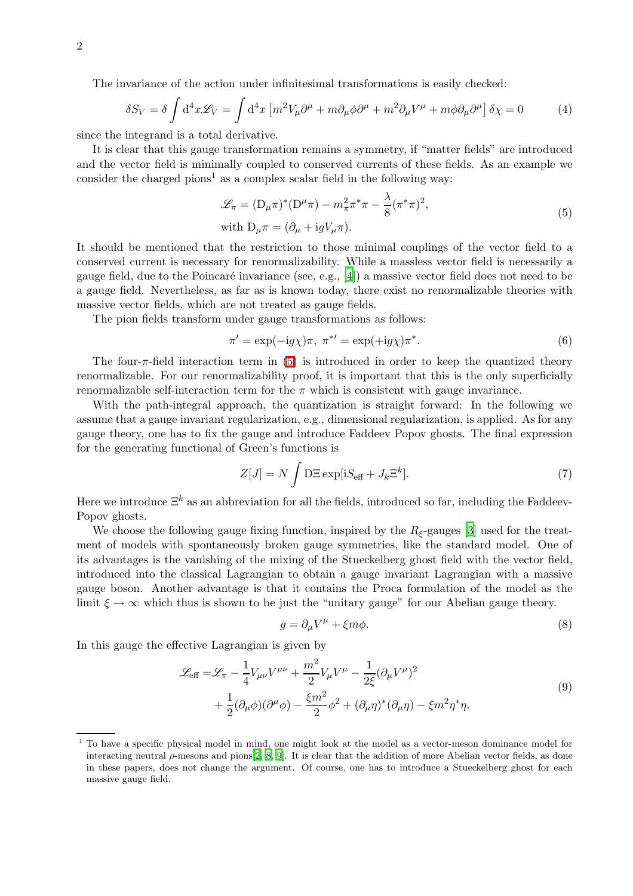The invariance of the action under infinitesimal transformations is easily checked:

$$
\delta S_V = \delta \int d^4x \mathcal{L}_V = \int d^4x \left[ m^2 V_\mu \partial^\mu + m \partial_\mu \phi \partial^\mu + m^2 \partial_\mu V^\mu + m \phi \partial_\mu \partial^\mu \right] \delta \chi = 0 \tag{4}
$$

since the integrand is a total derivative.

It is clear that this gauge transformation remains a symmetry, if "matter fields" are introduced and the vector field is minimally coupled to conserved currents of these fields. As an example we consider the charged pions<sup>1</sup> as a complex scalar field in the following way:

<span id="page-1-0"></span>
$$
\mathcal{L}_{\pi} = (\mathcal{D}_{\mu}\pi)^{*}(\mathcal{D}^{\mu}\pi) - m_{\pi}^{2}\pi^{*}\pi - \frac{\lambda}{8}(\pi^{*}\pi)^{2},
$$
  
with 
$$
\mathcal{D}_{\mu}\pi = (\partial_{\mu} + i g V_{\mu}\pi).
$$
 (5)

It should be mentioned that the restriction to those minimal couplings of the vector field to a conserved current is necessary for renormalizability. While a massless vector field is necessarily a gauge field, due to the Poincaré invariance (see, e.g.,  $[4]$ ) a massive vector field does not need to be a gauge field. Nevertheless, as far as is known today, there exist no renormalizable theories with massive vector fields, which are not treated as gauge fields.

The pion fields transform under gauge transformations as follows:

<span id="page-1-3"></span>
$$
\pi' = \exp(-ig\chi)\pi, \ \pi^{*\prime} = \exp(+ig\chi)\pi^*.
$$

The four- $\pi$ -field interaction term in [\(5\)](#page-1-0) is introduced in order to keep the quantized theory renormalizable. For our renormalizability proof, it is important that this is the only superficially renormalizable self-interaction term for the  $\pi$  which is consistent with gauge invariance.

With the path-integral approach, the quantization is straight forward: In the following we assume that a gauge invariant regularization, e.g., dimensional regularization, is applied. As for any gauge theory, one has to fix the gauge and introduce Faddeev Popov ghosts. The final expression for the generating functional of Green's functions is

<span id="page-1-2"></span>
$$
Z[J] = N \int \mathcal{D}\Xi \exp[\mathrm{i}S_{\text{eff}} + J_k \Xi^k]. \tag{7}
$$

Here we introduce  $\Xi^k$  as an abbreviation for all the fields, introduced so far, including the Faddeev-Popov ghosts.

We choose the following gauge fixing function, inspired by the  $R_{\xi}$ -gauges [\[3](#page-7-2)] used for the treatment of models with spontaneously broken gauge symmetries, like the standard model. One of its advantages is the vanishing of the mixing of the Stueckelberg ghost field with the vector field, introduced into the classical Lagrangian to obtain a gauge invariant Lagrangian with a massive gauge boson. Another advantage is that it contains the Proca formulation of the model as the limit  $\xi \to \infty$  which thus is shown to be just the "unitary gauge" for our Abelian gauge theory.

<span id="page-1-4"></span><span id="page-1-1"></span>
$$
g = \partial_{\mu} V^{\mu} + \xi m \phi. \tag{8}
$$

In this gauge the effective Lagrangian is given by

$$
\mathcal{L}_{\text{eff}} = \mathcal{L}_{\pi} - \frac{1}{4} V_{\mu\nu} V^{\mu\nu} + \frac{m^2}{2} V_{\mu} V^{\mu} - \frac{1}{2\xi} (\partial_{\mu} V^{\mu})^2 + \frac{1}{2} (\partial_{\mu} \phi)(\partial^{\mu} \phi) - \frac{\xi m^2}{2} \phi^2 + (\partial_{\mu} \eta)^* (\partial_{\mu} \eta) - \xi m^2 \eta^* \eta.
$$
\n(9)

<sup>1</sup> To have a specific physical model in mind, one might look at the model as a vector-meson dominance model for interacting neutral  $\rho$ -mesons and pions [\[2,](#page-7-1) [8,](#page-7-7) [9\]](#page-7-8). It is clear that the addition of more Abelian vector fields, as done in these papers, does not change the argument. Of course, one has to introduce a Stueckelberg ghost for each massive gauge field.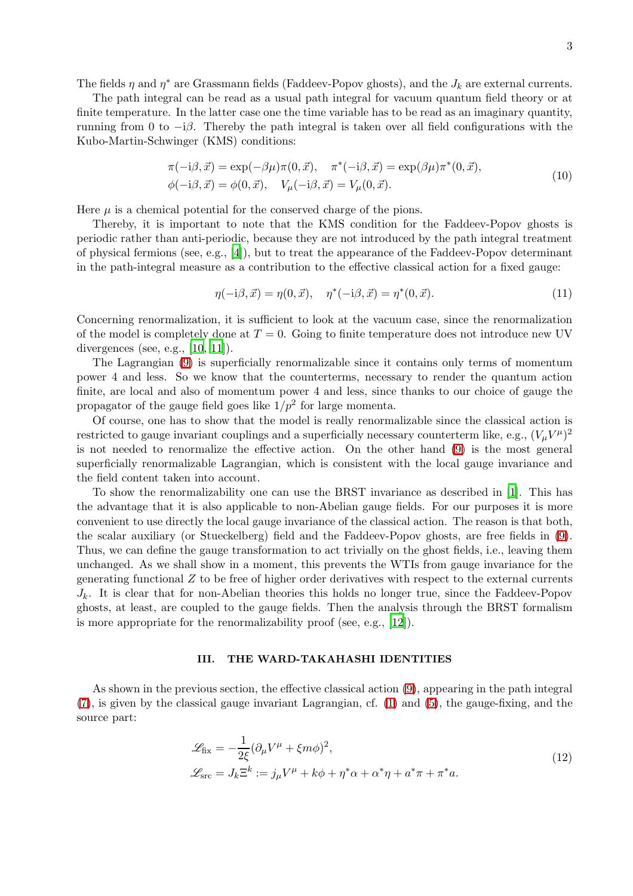The fields  $\eta$  and  $\eta^*$  are Grassmann fields (Faddeev-Popov ghosts), and the  $J_k$  are external currents.

The path integral can be read as a usual path integral for vacuum quantum field theory or at finite temperature. In the latter case one the time variable has to be read as an imaginary quantity, running from 0 to  $-i\beta$ . Thereby the path integral is taken over all field configurations with the Kubo-Martin-Schwinger (KMS) conditions:

$$
\pi(-i\beta, \vec{x}) = \exp(-\beta\mu)\pi(0, \vec{x}), \quad \pi^*(-i\beta, \vec{x}) = \exp(\beta\mu)\pi^*(0, \vec{x}), \n\phi(-i\beta, \vec{x}) = \phi(0, \vec{x}), \quad V_\mu(-i\beta, \vec{x}) = V_\mu(0, \vec{x}).
$$
\n(10)

Here  $\mu$  is a chemical potential for the conserved charge of the pions.

Thereby, it is important to note that the KMS condition for the Faddeev-Popov ghosts is periodic rather than anti-periodic, because they are not introduced by the path integral treatment of physical fermions (see, e.g., [\[4](#page-7-3)]), but to treat the appearance of the Faddeev-Popov determinant in the path-integral measure as a contribution to the effective classical action for a fixed gauge:

$$
\eta(-i\beta, \vec{x}) = \eta(0, \vec{x}), \quad \eta^*(-i\beta, \vec{x}) = \eta^*(0, \vec{x}).
$$
\n(11)

Concerning renormalization, it is sufficient to look at the vacuum case, since the renormalization of the model is completely done at  $T = 0$ . Going to finite temperature does not introduce new UV divergences (see, e.g., [\[10](#page-7-9), [11](#page-7-10)]).

The Lagrangian [\(9\)](#page-1-1) is superficially renormalizable since it contains only terms of momentum power 4 and less. So we know that the counterterms, necessary to render the quantum action finite, are local and also of momentum power 4 and less, since thanks to our choice of gauge the propagator of the gauge field goes like  $1/p^2$  for large momenta.

Of course, one has to show that the model is really renormalizable since the classical action is restricted to gauge invariant couplings and a superficially necessary counterterm like, e.g.,  $(V_\mu V^\mu)^2$ is not needed to renormalize the effective action. On the other hand [\(9\)](#page-1-1) is the most general superficially renormalizable Lagrangian, which is consistent with the local gauge invariance and the field content taken into account.

To show the renormalizability one can use the BRST invariance as described in [\[1\]](#page-7-0). This has the advantage that it is also applicable to non-Abelian gauge fields. For our purposes it is more convenient to use directly the local gauge invariance of the classical action. The reason is that both, the scalar auxiliary (or Stueckelberg) field and the Faddeev-Popov ghosts, are free fields in [\(9\)](#page-1-1). Thus, we can define the gauge transformation to act trivially on the ghost fields, i.e., leaving them unchanged. As we shall show in a moment, this prevents the WTIs from gauge invariance for the generating functional  $Z$  to be free of higher order derivatives with respect to the external currents  $J_k$ . It is clear that for non-Abelian theories this holds no longer true, since the Faddeev-Popov ghosts, at least, are coupled to the gauge fields. Then the analysis through the BRST formalism is more appropriate for the renormalizability proof (see, e.g., [\[12](#page-7-11)]).

## III. THE WARD-TAKAHASHI IDENTITIES

As shown in the previous section, the effective classical action [\(9\)](#page-1-1), appearing in the path integral [\(7\)](#page-1-2), is given by the classical gauge invariant Lagrangian, cf. [\(1\)](#page-0-0) and [\(5\)](#page-1-0), the gauge-fixing, and the source part:

$$
\mathcal{L}_{\text{fix}} = -\frac{1}{2\xi} (\partial_{\mu} V^{\mu} + \xi m \phi)^{2},
$$
  

$$
\mathcal{L}_{\text{src}} = J_{k} \Xi^{k} := j_{\mu} V^{\mu} + k \phi + \eta^{*} \alpha + \alpha^{*} \eta + a^{*} \pi + \pi^{*} a.
$$
 (12)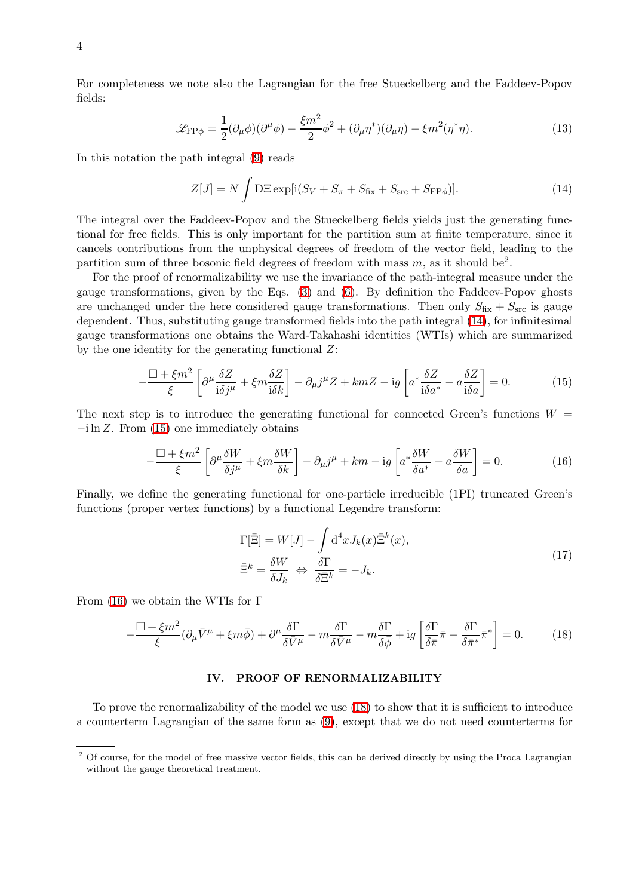For completeness we note also the Lagrangian for the free Stueckelberg and the Faddeev-Popov fields:

$$
\mathcal{L}_{\mathrm{FP}\phi} = \frac{1}{2} (\partial_{\mu}\phi)(\partial^{\mu}\phi) - \frac{\xi m^2}{2} \phi^2 + (\partial_{\mu}\eta^*)(\partial_{\mu}\eta) - \xi m^2 (\eta^*\eta). \tag{13}
$$

In this notation the path integral [\(9\)](#page-1-1) reads

$$
Z[J] = N \int \mathcal{D}\Xi \exp[i(S_V + S_\pi + S_{fix} + S_{src} + S_{FP\phi})]. \tag{14}
$$

The integral over the Faddeev-Popov and the Stueckelberg fields yields just the generating functional for free fields. This is only important for the partition sum at finite temperature, since it cancels contributions from the unphysical degrees of freedom of the vector field, leading to the partition sum of three bosonic field degrees of freedom with mass  $m$ , as it should be<sup>2</sup>.

For the proof of renormalizability we use the invariance of the path-integral measure under the gauge transformations, given by the Eqs. [\(3\)](#page-0-1) and [\(6\)](#page-1-3). By definition the Faddeev-Popov ghosts are unchanged under the here considered gauge transformations. Then only  $S_{fix} + S_{src}$  is gauge dependent. Thus, substituting gauge transformed fields into the path integral [\(14\)](#page-3-0), for infinitesimal gauge transformations one obtains the Ward-Takahashi identities (WTIs) which are summarized by the one identity for the generating functional  $Z$ :

<span id="page-3-1"></span>
$$
-\frac{\Box + \xi m^2}{\xi} \left[ \partial^{\mu} \frac{\delta Z}{i \delta j^{\mu}} + \xi m \frac{\delta Z}{i \delta k} \right] - \partial_{\mu} j^{\mu} Z + km Z - ig \left[ a^* \frac{\delta Z}{i \delta a^*} - a \frac{\delta Z}{i \delta a} \right] = 0. \tag{15}
$$

The next step is to introduce the generating functional for connected Green's functions  $W =$  $-i \ln Z$ . From [\(15\)](#page-3-1) one immediately obtains

<span id="page-3-2"></span>
$$
-\frac{\Box + \xi m^2}{\xi} \left[ \partial^{\mu} \frac{\delta W}{\delta j^{\mu}} + \xi m \frac{\delta W}{\delta k} \right] - \partial_{\mu} j^{\mu} + km - ig \left[ a^* \frac{\delta W}{\delta a^*} - a \frac{\delta W}{\delta a} \right] = 0. \tag{16}
$$

Finally, we define the generating functional for one-particle irreducible (1PI) truncated Green's functions (proper vertex functions) by a functional Legendre transform:

<span id="page-3-3"></span>
$$
\Gamma[\bar{\Xi}] = W[J] - \int d^4x J_k(x) \bar{\Xi}^k(x),
$$
  
\n
$$
\bar{\Xi}^k = \frac{\delta W}{\delta J_k} \Leftrightarrow \frac{\delta \Gamma}{\delta \bar{\Xi}^k} = -J_k.
$$
\n(17)

From [\(16\)](#page-3-2) we obtain the WTIs for Γ

$$
-\frac{\Box + \xi m^2}{\xi} (\partial_{\mu} \bar{V}^{\mu} + \xi m \bar{\phi}) + \partial^{\mu} \frac{\delta \Gamma}{\delta \bar{V}^{\mu}} - m \frac{\delta \Gamma}{\delta \bar{V}^{\mu}} - m \frac{\delta \Gamma}{\delta \bar{\phi}} + ig \left[ \frac{\delta \Gamma}{\delta \bar{\pi}} \bar{\pi} - \frac{\delta \Gamma}{\delta \bar{\pi}^*} \bar{\pi}^* \right] = 0. \tag{18}
$$

#### IV. PROOF OF RENORMALIZABILITY

To prove the renormalizability of the model we use [\(18\)](#page-3-3) to show that it is sufficient to introduce a counterterm Lagrangian of the same form as [\(9\)](#page-1-1), except that we do not need counterterms for

<span id="page-3-0"></span><sup>&</sup>lt;sup>2</sup> Of course, for the model of free massive vector fields, this can be derived directly by using the Proca Lagrangian without the gauge theoretical treatment.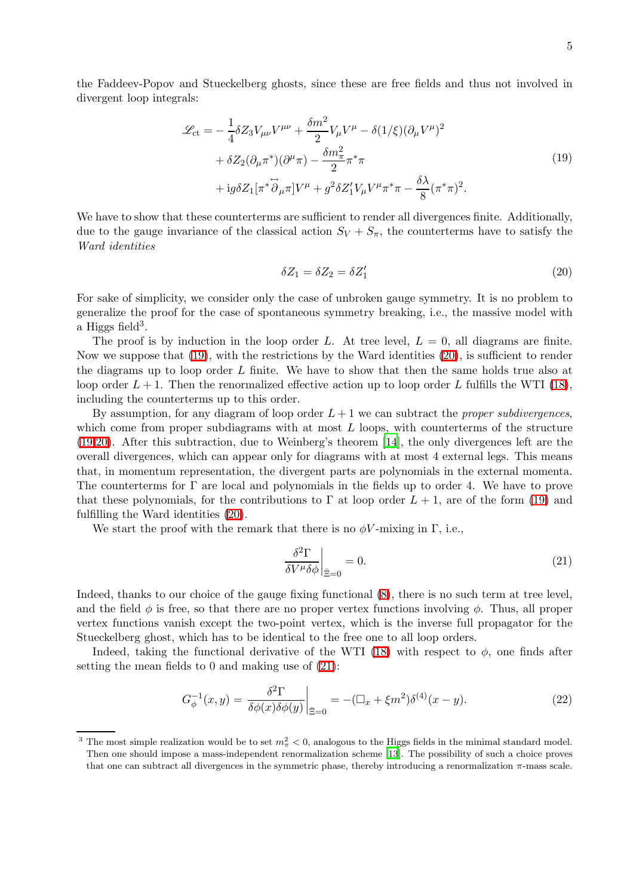<span id="page-4-0"></span>the Faddeev-Popov and Stueckelberg ghosts, since these are free fields and thus not involved in divergent loop integrals:

$$
\mathcal{L}_{ct} = -\frac{1}{4} \delta Z_3 V_{\mu\nu} V^{\mu\nu} + \frac{\delta m^2}{2} V_{\mu} V^{\mu} - \delta (1/\xi) (\partial_{\mu} V^{\mu})^2 \n+ \delta Z_2 (\partial_{\mu} \pi^*)(\partial^{\mu} \pi) - \frac{\delta m_{\pi}^2}{2} \pi^* \pi \n+ ig \delta Z_1 [\pi^* \overleftrightarrow{\partial}_{\mu} \pi] V^{\mu} + g^2 \delta Z_1' V_{\mu} V^{\mu} \pi^* \pi - \frac{\delta \lambda}{8} (\pi^* \pi)^2.
$$
\n(19)

We have to show that these counterterms are sufficient to render all divergences finite. Additionally, due to the gauge invariance of the classical action  $S_V + S_{\pi}$ , the counterterms have to satisfy the Ward identities

$$
\delta Z_1 = \delta Z_2 = \delta Z'_1 \tag{20}
$$

For sake of simplicity, we consider only the case of unbroken gauge symmetry. It is no problem to generalize the proof for the case of spontaneous symmetry breaking, i.e., the massive model with a Higgs field<sup>3</sup>.

The proof is by induction in the loop order L. At tree level,  $L = 0$ , all diagrams are finite. Now we suppose that [\(19\)](#page-4-0), with the restrictions by the Ward identities [\(20\)](#page-4-1), is sufficient to render the diagrams up to loop order  $L$  finite. We have to show that then the same holds true also at loop order  $L + 1$ . Then the renormalized effective action up to loop order L fulfills the WTI [\(18\)](#page-3-3), including the counterterms up to this order.

By assumption, for any diagram of loop order  $L + 1$  we can subtract the *proper subdivergences*, which come from proper subdiagrams with at most  $L$  loops, with counterterms of the structure [\(19](#page-4-0)[,20\)](#page-4-1). After this subtraction, due to Weinberg's theorem [\[14](#page-7-12)], the only divergences left are the overall divergences, which can appear only for diagrams with at most 4 external legs. This means that, in momentum representation, the divergent parts are polynomials in the external momenta. The counterterms for Γ are local and polynomials in the fields up to order 4. We have to prove that these polynomials, for the contributions to  $\Gamma$  at loop order  $L + 1$ , are of the form [\(19\)](#page-4-0) and fulfilling the Ward identities [\(20\)](#page-4-1).

We start the proof with the remark that there is no  $\phi V$ -mixing in  $\Gamma$ , i.e.,

<span id="page-4-2"></span>
$$
\left. \frac{\delta^2 \Gamma}{\delta V^{\mu} \delta \phi} \right|_{\bar{\Xi}=0} = 0. \tag{21}
$$

Indeed, thanks to our choice of the gauge fixing functional [\(8\)](#page-1-4), there is no such term at tree level, and the field  $\phi$  is free, so that there are no proper vertex functions involving  $\phi$ . Thus, all proper vertex functions vanish except the two-point vertex, which is the inverse full propagator for the Stueckelberg ghost, which has to be identical to the free one to all loop orders.

Indeed, taking the functional derivative of the WTI [\(18\)](#page-3-3) with respect to  $\phi$ , one finds after setting the mean fields to 0 and making use of [\(21\)](#page-4-2):

$$
G_{\phi}^{-1}(x,y) = \frac{\delta^2 \Gamma}{\delta \phi(x)\delta \phi(y)} \bigg|_{\bar{\Xi}=0} = -(\Box_x + \xi m^2) \delta^{(4)}(x-y). \tag{22}
$$

<span id="page-4-1"></span><sup>&</sup>lt;sup>3</sup> The most simple realization would be to set  $m_{\pi}^2 < 0$ , analogous to the Higgs fields in the minimal standard model. Then one should impose a mass-independent renormalization scheme [\[13](#page-7-13)]. The possibility of such a choice proves that one can subtract all divergences in the symmetric phase, thereby introducing a renormalization π-mass scale.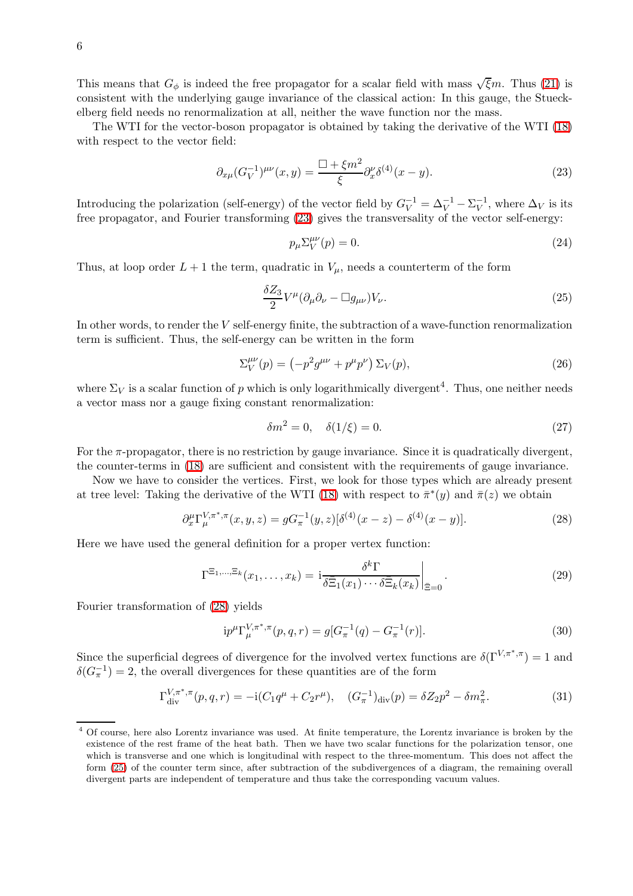This means that  $G_{\phi}$  is indeed the free propagator for a scalar field with mass  $\sqrt{\xi}m$ . Thus [\(21\)](#page-4-2) is consistent with the underlying gauge invariance of the classical action: In this gauge, the Stueckelberg field needs no renormalization at all, neither the wave function nor the mass.

The WTI for the vector-boson propagator is obtained by taking the derivative of the WTI [\(18\)](#page-3-3) with respect to the vector field:

<span id="page-5-0"></span>
$$
\partial_{x\mu} (G_V^{-1})^{\mu\nu}(x, y) = \frac{\Box + \xi m^2}{\xi} \partial_x^{\nu} \delta^{(4)}(x - y). \tag{23}
$$

Introducing the polarization (self-energy) of the vector field by  $G_V^{-1} = \Delta_V^{-1} - \Sigma_V^{-1}$ , where  $\Delta_V$  is its free propagator, and Fourier transforming [\(23\)](#page-5-0) gives the transversality of the vector self-energy:

<span id="page-5-2"></span>
$$
p_{\mu} \Sigma_V^{\mu \nu}(p) = 0. \tag{24}
$$

Thus, at loop order  $L + 1$  the term, quadratic in  $V_{\mu}$ , needs a counterterm of the form

$$
\frac{\delta Z_3}{2} V^{\mu} (\partial_{\mu} \partial_{\nu} - \Box g_{\mu \nu}) V_{\nu}.
$$
\n(25)

In other words, to render the V self-energy finite, the subtraction of a wave-function renormalization term is sufficient. Thus, the self-energy can be written in the form

$$
\Sigma_V^{\mu\nu}(p) = \left(-p^2 g^{\mu\nu} + p^\mu p^\nu\right) \Sigma_V(p),\tag{26}
$$

where  $\Sigma_V$  is a scalar function of p which is only logarithmically divergent<sup>4</sup>. Thus, one neither needs a vector mass nor a gauge fixing constant renormalization:

<span id="page-5-1"></span>
$$
\delta m^2 = 0, \quad \delta(1/\xi) = 0. \tag{27}
$$

For the π-propagator, there is no restriction by gauge invariance. Since it is quadratically divergent, the counter-terms in [\(18\)](#page-3-3) are sufficient and consistent with the requirements of gauge invariance.

Now we have to consider the vertices. First, we look for those types which are already present at tree level: Taking the derivative of the WTI [\(18\)](#page-3-3) with respect to  $\pi^*(y)$  and  $\pi(z)$  we obtain

$$
\partial_x^{\mu} \Gamma_{\mu}^{V,\pi^*,\pi}(x,y,z) = g G_{\pi}^{-1}(y,z) [\delta^{(4)}(x-z) - \delta^{(4)}(x-y)]. \tag{28}
$$

Here we have used the general definition for a proper vertex function:

$$
\Gamma^{\Xi_1,\dots,\Xi_k}(x_1,\dots,x_k) = \left. i \frac{\delta^k \Gamma}{\delta \overline{\Xi}_1(x_1)\cdots \delta \overline{\Xi}_k(x_k)} \right|_{\overline{\Xi}=0}.
$$
\n(29)

Fourier transformation of [\(28\)](#page-5-1) yields

$$
ip^{\mu}\Gamma_{\mu}^{V,\pi^*,\pi}(p,q,r) = g[G_{\pi}^{-1}(q) - G_{\pi}^{-1}(r)].
$$
\n(30)

Since the superficial degrees of divergence for the involved vertex functions are  $\delta(\Gamma^{V,\pi^*,\pi}) = 1$  and  $\delta(G_{\pi}^{-1})=2$ , the overall divergences for these quantities are of the form

$$
\Gamma_{\rm div}^{V,\pi^*,\pi}(p,q,r) = -i(C_1 q^{\mu} + C_2 r^{\mu}), \quad (G_{\pi}^{-1})_{\rm div}(p) = \delta Z_2 p^2 - \delta m_{\pi}^2.
$$
 (31)

<sup>&</sup>lt;sup>4</sup> Of course, here also Lorentz invariance was used. At finite temperature, the Lorentz invariance is broken by the existence of the rest frame of the heat bath. Then we have two scalar functions for the polarization tensor, one which is transverse and one which is longitudinal with respect to the three-momentum. This does not affect the form [\(25\)](#page-5-2) of the counter term since, after subtraction of the subdivergences of a diagram, the remaining overall divergent parts are independent of temperature and thus take the corresponding vacuum values.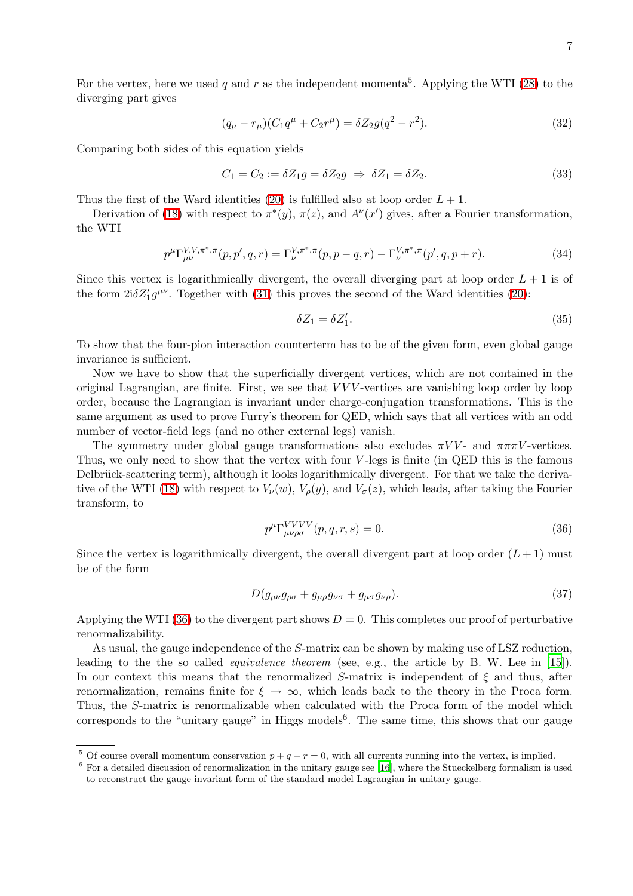For the vertex, here we used q and r as the independent momenta<sup>5</sup>. Applying the WTI [\(28\)](#page-5-1) to the diverging part gives

$$
(q_{\mu} - r_{\mu})(C_1 q^{\mu} + C_2 r^{\mu}) = \delta Z_2 g(q^2 - r^2).
$$
\n(32)

Comparing both sides of this equation yields

$$
C_1 = C_2 := \delta Z_1 g = \delta Z_2 g \Rightarrow \delta Z_1 = \delta Z_2. \tag{33}
$$

Thus the first of the Ward identities [\(20\)](#page-4-1) is fulfilled also at loop order  $L + 1$ .

Derivation of [\(18\)](#page-3-3) with respect to  $\pi^*(y)$ ,  $\pi(z)$ , and  $A^{\nu}(x')$  gives, after a Fourier transformation, the WTI

$$
p^{\mu} \Gamma_{\mu\nu}^{V,V,\pi^*,\pi}(p,p',q,r) = \Gamma_{\nu}^{V,\pi^*,\pi}(p,p-q,r) - \Gamma_{\nu}^{V,\pi^*,\pi}(p',q,p+r). \tag{34}
$$

Since this vertex is logarithmically divergent, the overall diverging part at loop order  $L + 1$  is of the form  $2i\delta Z_1'g^{\mu\nu}$ . Together with [\(31\)](#page-6-0) this proves the second of the Ward identities [\(20\)](#page-4-1):

$$
\delta Z_1 = \delta Z'_1. \tag{35}
$$

To show that the four-pion interaction counterterm has to be of the given form, even global gauge invariance is sufficient.

Now we have to show that the superficially divergent vertices, which are not contained in the original Lagrangian, are finite. First, we see that  $VVV$ -vertices are vanishing loop order by loop order, because the Lagrangian is invariant under charge-conjugation transformations. This is the same argument as used to prove Furry's theorem for QED, which says that all vertices with an odd number of vector-field legs (and no other external legs) vanish.

<span id="page-6-1"></span>The symmetry under global gauge transformations also excludes  $\pi VV$ - and  $\pi\pi\pi V$ -vertices. Thus, we only need to show that the vertex with four V -legs is finite (in QED this is the famous Delbrück-scattering term), although it looks logarithmically divergent. For that we take the deriva-tive of the WTI [\(18\)](#page-3-3) with respect to  $V_{\nu}(w)$ ,  $V_{\rho}(y)$ , and  $V_{\sigma}(z)$ , which leads, after taking the Fourier transform, to

$$
p^{\mu} \Gamma_{\mu\nu\rho\sigma}^{VVVV} (p, q, r, s) = 0. \tag{36}
$$

Since the vertex is logarithmically divergent, the overall divergent part at loop order  $(L+1)$  must be of the form

$$
D(g_{\mu\nu}g_{\rho\sigma} + g_{\mu\rho}g_{\nu\sigma} + g_{\mu\sigma}g_{\nu\rho}).
$$
\n(37)

Applying the WTI [\(36\)](#page-6-1) to the divergent part shows  $D = 0$ . This completes our proof of perturbative renormalizability.

As usual, the gauge independence of the S-matrix can be shown by making use of LSZ reduction, leading to the the so called equivalence theorem (see, e.g., the article by B. W. Lee in [\[15](#page-7-14)]). In our context this means that the renormalized S-matrix is independent of  $\xi$  and thus, after renormalization, remains finite for  $\xi \to \infty$ , which leads back to the theory in the Proca form. Thus, the S-matrix is renormalizable when calculated with the Proca form of the model which corresponds to the "unitary gauge" in Higgs models<sup>6</sup>. The same time, this shows that our gauge

<span id="page-6-0"></span><sup>&</sup>lt;sup>5</sup> Of course overall momentum conservation  $p + q + r = 0$ , with all currents running into the vertex, is implied.

 $6$  For a detailed discussion of renormalization in the unitary gauge see [\[16](#page-7-15)], where the Stueckelberg formalism is used to reconstruct the gauge invariant form of the standard model Lagrangian in unitary gauge.